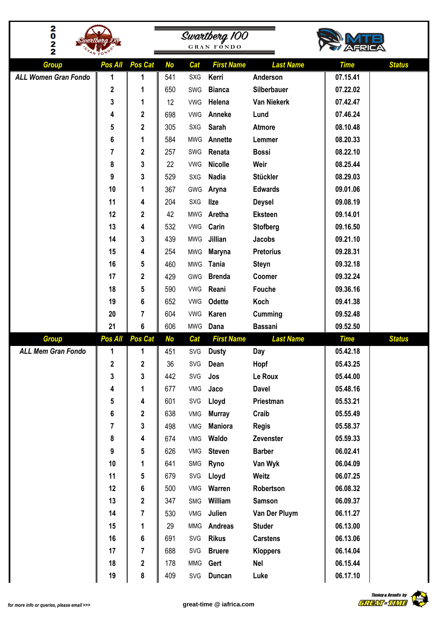| 2<br>0<br>$\frac{2}{2}$     | artbera 100º |                |           |            | Swartberg 100<br><b>GRAN FONDO</b> |                    |             |               |
|-----------------------------|--------------|----------------|-----------|------------|------------------------------------|--------------------|-------------|---------------|
| <b>Group</b>                | Pos All      | Pos Cat        | <b>No</b> | Cat        | <b>First Name</b>                  | <b>Last Name</b>   | <b>Time</b> | <b>Status</b> |
| <b>ALL Women Gran Fondo</b> | 1            | 1              | 541       | SXG        | Kerri                              | Anderson           | 07.15.41    |               |
|                             | $\mathbf 2$  | 1              | 650       | SWG        | <b>Bianca</b>                      | Silberbauer        | 07.22.02    |               |
|                             | 3            | 1              | 12        | <b>VWG</b> | Helena                             | <b>Van Niekerk</b> | 07.42.47    |               |
|                             | 4            | $\mathbf 2$    | 698       | <b>VWG</b> | Anneke                             | Lund               | 07.46.24    |               |
|                             | 5            | $\mathbf 2$    | 305       | <b>SXG</b> | <b>Sarah</b>                       | <b>Atmore</b>      | 08.10.48    |               |
|                             | 6            | 1              | 584       | <b>MWG</b> | Annette                            | Lemmer             | 08.20.33    |               |
|                             | 7            | $\mathbf 2$    | 257       | SWG        | Renata                             | <b>Bossi</b>       | 08.22.10    |               |
|                             | 8            | 3              | 22        | <b>VWG</b> | <b>Nicolle</b>                     | Weir               | 08.25.44    |               |
|                             | 9            | 3              | 529       | SXG        | <b>Nadia</b>                       | <b>Stückler</b>    | 08.29.03    |               |
|                             | 10           | 1              | 367       | GWG        | Aryna                              | <b>Edwards</b>     | 09.01.06    |               |
|                             | 11           | 4              | 204       | <b>SXG</b> | <b>Ilze</b>                        | <b>Deysel</b>      | 09.08.19    |               |
|                             | 12           | $\mathbf{2}$   | 42        | <b>MWG</b> | Aretha                             | <b>Eksteen</b>     | 09.14.01    |               |
|                             | 13           | 4              | 532       | <b>VWG</b> | Carin                              | <b>Stofberg</b>    | 09.16.50    |               |
|                             | 14           | 3              | 439       | <b>MWG</b> | Jillian                            | <b>Jacobs</b>      | 09.21.10    |               |
|                             | 15           | 4              | 254       | <b>MWG</b> | <b>Maryna</b>                      | <b>Pretorius</b>   | 09.28.31    |               |
|                             | 16           | 5              | 460       | <b>MWG</b> | <b>Tania</b>                       | <b>Steyn</b>       | 09.32.18    |               |
|                             | 17           | $\mathbf 2$    | 429       | GWG        | <b>Brenda</b>                      | Coomer             | 09.32.24    |               |
|                             | 18           | 5              | 590       | <b>VWG</b> | Reani                              | <b>Fouche</b>      | 09.36.16    |               |
|                             | 19           | 6              | 652       | <b>VWG</b> | <b>Odette</b>                      | Koch               | 09.41.38    |               |
|                             | 20           | 7              | 604       | <b>VWG</b> | Karen                              | Cumming            | 09.52.48    |               |
|                             | 21           | $6\phantom{1}$ | 606       | <b>MWG</b> | Dana                               | <b>Bassani</b>     | 09.52.50    |               |
| <b>Group</b>                | Pos All      | <b>Pos Cat</b> | <b>No</b> | Cat        | <b>First Name</b>                  | <b>Last Name</b>   | <b>Time</b> | <b>Status</b> |
| <b>ALL Mem Gran Fondo</b>   | $\mathbf 1$  | 1              | 451       |            | SVG Dusty                          | Day                | 05.42.18    |               |
|                             | $\mathbf 2$  | $\mathbf{2}$   | 36        | SVG        | Dean                               | Hopf               | 05.43.25    |               |
|                             | 3            | 3              | 442       | SVG        | Jos                                | Le Roux            | 05.44.00    |               |
|                             | 4            | 1              | 677       | VMG        | Jaco                               | <b>Davel</b>       | 05.48.16    |               |
|                             | 5            | 4              | 601       | SVG        | Lloyd                              | Priestman          | 05.53.21    |               |
|                             | 6            | $\mathbf{2}$   | 638       | VMG        | <b>Murray</b>                      | Craib              | 05.55.49    |               |
|                             | 7            | 3              | 498       | VMG        | <b>Maniora</b>                     | <b>Regis</b>       | 05.58.37    |               |
|                             | 8            | 4              | 674       | VMG        | Waldo                              | Zevenster          | 05.59.33    |               |
|                             | 9            | 5              | 626       | VMG        | <b>Steven</b>                      | <b>Barber</b>      | 06.02.41    |               |
|                             | 10           | 1              | 641       | SMG        | Ryno                               | Van Wyk            | 06.04.09    |               |
|                             | 11           | 5              | 679       | SVG        | Lloyd                              | Weitz              | 06.07.25    |               |
|                             | 12           | 6              | 500       | VMG        | Warren                             | Robertson          | 06.08.32    |               |
|                             | 13           | $\mathbf{2}$   | 347       | SMG        | William                            | <b>Samson</b>      | 06.09.37    |               |
|                             | 14           | $\overline{7}$ | 530       | VMG        | Julien                             | Van Der Pluym      | 06.11.27    |               |
|                             | 15           | 1              | 29        | <b>MMG</b> | Andreas                            | <b>Studer</b>      | 06.13.00    |               |
|                             | 16           | $6\phantom{1}$ | 691       | SVG        | <b>Rikus</b>                       | <b>Carstens</b>    | 06.13.06    |               |
|                             | 17           | 7              | 688       | SVG        | <b>Bruere</b>                      | <b>Kloppers</b>    | 06.14.04    |               |
|                             | 18           | $\mathbf{2}$   | 178       | <b>MMG</b> | Gert                               | <b>Nel</b>         | 06.15.44    |               |
|                             | 19           | 8              | 409       | SVG        | <b>Duncan</b>                      | Luke               | 06.17.10    |               |

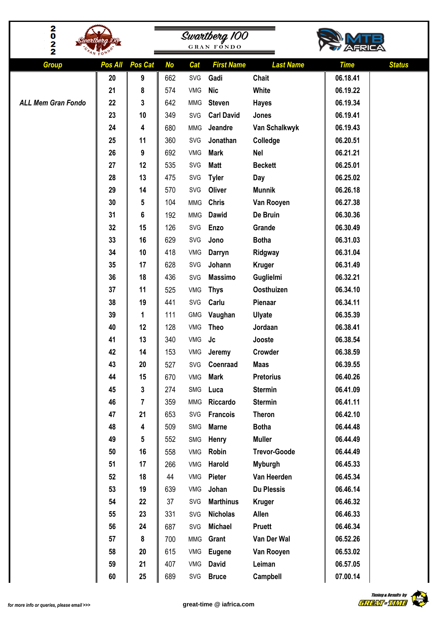| 2<br>0<br>$\frac{2}{2}$   |         |         |           | Swartberg 100<br><b>GRAN FONDO</b> |                   |                     |                              |  |
|---------------------------|---------|---------|-----------|------------------------------------|-------------------|---------------------|------------------------------|--|
| <b>Group</b>              | Pos All | Pos Cat | <b>No</b> | Cat                                | <b>First Name</b> | <b>Last Name</b>    | <b>Time</b><br><b>Status</b> |  |
|                           | 20      | 9       | 662       | SVG                                | Gadi              | <b>Chait</b>        | 06.18.41                     |  |
|                           | 21      | 8       | 574       | VMG                                | <b>Nic</b>        | White               | 06.19.22                     |  |
| <b>ALL Mem Gran Fondo</b> | 22      | 3       | 642       | <b>MMG</b>                         | <b>Steven</b>     | <b>Hayes</b>        | 06.19.34                     |  |
|                           | 23      | 10      | 349       | SVG                                | <b>Carl David</b> | Jones               | 06.19.41                     |  |
|                           | 24      | 4       | 680       | <b>MMG</b>                         | Jeandre           | Van Schalkwyk       | 06.19.43                     |  |
|                           | 25      | 11      | 360       | SVG                                | Jonathan          | Colledge            | 06.20.51                     |  |
|                           | 26      | 9       | 692       | VMG                                | <b>Mark</b>       | <b>Nel</b>          | 06.21.21                     |  |
|                           | 27      | 12      | 535       | SVG                                | <b>Matt</b>       | <b>Beckett</b>      | 06.25.01                     |  |
|                           | 28      | 13      | 475       | SVG                                | <b>Tyler</b>      | Day                 | 06.25.02                     |  |
|                           | 29      | 14      | 570       | SVG                                | Oliver            | <b>Munnik</b>       | 06.26.18                     |  |
|                           | 30      | 5       | 104       | <b>MMG</b>                         | <b>Chris</b>      | Van Rooyen          | 06.27.38                     |  |
|                           | 31      | 6       | 192       | <b>MMG</b>                         | Dawid             | De Bruin            | 06.30.36                     |  |
|                           | 32      | 15      | 126       | SVG                                | Enzo              | Grande              | 06.30.49                     |  |
|                           | 33      | 16      | 629       | SVG                                | Jono              | <b>Botha</b>        | 06.31.03                     |  |
|                           | 34      | 10      | 418       | VMG                                | Darryn            | Ridgway             | 06.31.04                     |  |
|                           | 35      | 17      | 628       | SVG                                | Johann            | <b>Kruger</b>       | 06.31.49                     |  |
|                           | 36      | 18      | 436       | SVG                                | <b>Massimo</b>    | Guglielmi           | 06.32.21                     |  |
|                           | 37      | 11      | 525       | VMG                                | <b>Thys</b>       | Oosthuizen          | 06.34.10                     |  |
|                           | 38      | 19      | 441       | SVG                                | Carlu             | Pienaar             | 06.34.11                     |  |
|                           | 39      | 1       | 111       | <b>GMG</b>                         | Vaughan           | <b>Ulyate</b>       | 06.35.39                     |  |
|                           | 40      | 12      | 128       | VMG                                | <b>Theo</b>       | Jordaan             | 06.38.41                     |  |
|                           | 41      | 13      | 340       | VMG                                | Jc                | Jooste              | 06.38.54                     |  |
|                           | 42      | 14      | 153       | VMG                                | Jeremy            | Crowder             | 06.38.59                     |  |
|                           | 43      | 20      | 527       | SVG                                | Coenraad          | <b>Maas</b>         | 06.39.55                     |  |
|                           | 44      | 15      | 670       | VMG                                | <b>Mark</b>       | <b>Pretorius</b>    | 06.40.26                     |  |
|                           | 45      | 3       | 274       | SMG                                | Luca              | <b>Stermin</b>      | 06.41.09                     |  |
|                           | 46      | 7       | 359       | <b>MMG</b>                         | Riccardo          | <b>Stermin</b>      | 06.41.11                     |  |
|                           | 47      | 21      | 653       | SVG                                | <b>Francois</b>   | <b>Theron</b>       | 06.42.10                     |  |
|                           | 48      | 4       | 509       | SMG                                | <b>Marne</b>      | <b>Botha</b>        | 06.44.48                     |  |
|                           | 49      | 5       | 552       | SMG                                | Henry             | <b>Muller</b>       | 06.44.49                     |  |
|                           | 50      | 16      | 558       | VMG                                | Robin             | <b>Trevor-Goode</b> | 06.44.49                     |  |
|                           | 51      | 17      | 266       | VMG                                | Harold            | <b>Myburgh</b>      | 06.45.33                     |  |
|                           | 52      | 18      | 44        | VMG                                | Pieter            | Van Heerden         | 06.45.34                     |  |
|                           | 53      | 19      | 639       | VMG                                | Johan             | <b>Du Plessis</b>   | 06.46.14                     |  |
|                           | 54      | 22      | 37        | SVG                                | <b>Marthinus</b>  | <b>Kruger</b>       | 06.46.32                     |  |
|                           | 55      | 23      | 331       | SVG                                | <b>Nicholas</b>   | Allen               | 06.46.33                     |  |
|                           | 56      | 24      | 687       | SVG                                | <b>Michael</b>    | Pruett              | 06.46.34                     |  |
|                           | 57      | 8       | 700       | <b>MMG</b>                         | Grant             | Van Der Wal         | 06.52.26                     |  |
|                           | 58      | 20      | 615       | VMG                                | <b>Eugene</b>     | Van Rooyen          | 06.53.02                     |  |
|                           | 59      | 21      | 407       | VMG                                | <b>David</b>      | Leiman              | 06.57.05                     |  |
|                           | 60      | 25      | 689       | SVG                                | <b>Bruce</b>      | Campbell            | 07.00.14                     |  |

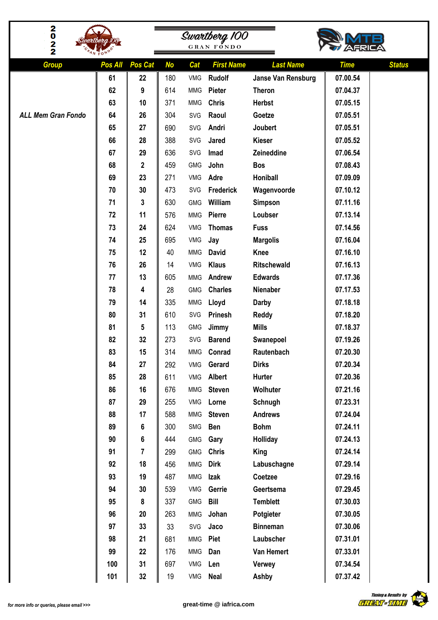| 2<br>0                    |          |             |            |                          |                                    |                               |                              |
|---------------------------|----------|-------------|------------|--------------------------|------------------------------------|-------------------------------|------------------------------|
| 2                         |          |             |            |                          | Swartberg 100<br><b>GRAN FONDO</b> |                               |                              |
| 2                         |          |             |            |                          |                                    |                               |                              |
| <b>Group</b>              | Pos All  | Pos Cat     | <b>No</b>  | Cat                      | <b>First Name</b>                  | <b>Last Name</b>              | <b>Status</b><br><b>Time</b> |
|                           | 61       | 22          | 180        | VMG                      | <b>Rudolf</b>                      | Janse Van Rensburg            | 07.00.54                     |
|                           | 62       | 9           | 614        | <b>MMG</b>               | Pieter                             | <b>Theron</b>                 | 07.04.37                     |
|                           | 63       | 10          | 371        | <b>MMG</b>               | <b>Chris</b>                       | <b>Herbst</b>                 | 07.05.15                     |
| <b>ALL Mem Gran Fondo</b> | 64       | 26          | 304        | SVG                      | Raoul                              | Goetze                        | 07.05.51                     |
|                           | 65       | 27          | 690        | SVG                      | Andri                              | Joubert                       | 07.05.51                     |
|                           | 66       | 28          | 388        | SVG                      | Jared                              | <b>Kieser</b>                 | 07.05.52                     |
|                           | 67       | 29          | 636        | SVG                      | Imad                               | Zeineddine                    | 07.06.54                     |
|                           | 68       | $\mathbf 2$ | 459        | GMG                      | John                               | <b>Bos</b>                    | 07.08.43                     |
|                           | 69       | 23          | 271        | VMG                      | Adre                               | Honiball                      | 07.09.09                     |
|                           | 70       | 30          | 473        | SVG                      | Frederick                          | Wagenvoorde                   | 07.10.12                     |
|                           | 71       | 3           | 630        | <b>GMG</b>               | William                            | <b>Simpson</b>                | 07.11.16                     |
|                           | 72       | 11          | 576        | <b>MMG</b>               | Pierre                             | Loubser                       | 07.13.14                     |
|                           | 73       | 24          | 624        | <b>VMG</b>               | <b>Thomas</b>                      | <b>Fuss</b>                   | 07.14.56                     |
|                           | 74       | 25          | 695        | VMG                      | Jay                                | <b>Margolis</b>               | 07.16.04                     |
|                           | 75       | 12          | 40         | <b>MMG</b>               | <b>David</b>                       | <b>Knee</b>                   | 07.16.10                     |
|                           | 76       | 26          | 14         | VMG                      | <b>Klaus</b>                       | <b>Ritschewald</b>            | 07.16.13                     |
|                           | 77       | 13          | 605        | <b>MMG</b>               | Andrew                             | <b>Edwards</b>                | 07.17.36                     |
|                           | 78       | 4           | 28         | <b>GMG</b>               | <b>Charles</b>                     | Nienaber                      | 07.17.53                     |
|                           | 79       | 14          | 335        | <b>MMG</b>               | Lloyd                              | <b>Darby</b>                  | 07.18.18                     |
|                           | 80       | 31          | 610        | SVG                      | <b>Prinesh</b>                     | <b>Reddy</b>                  | 07.18.20                     |
|                           | 81       | 5           | 113        | <b>GMG</b>               | Jimmy                              | <b>Mills</b>                  | 07.18.37                     |
|                           | 82       | 32          | 273        | SVG                      | <b>Barend</b>                      | Swanepoel                     | 07.19.26                     |
|                           | 83       | 15          | 314        |                          | MMG Conrad                         | Rautenbach                    | 07.20.30                     |
|                           | 84       | 27          | 292        | VMG                      | Gerard                             | <b>Dirks</b>                  | 07.20.34                     |
|                           | 85       | 28          | 611        | VMG                      | Albert                             | Hurter                        | 07.20.36                     |
|                           | 86       | 16          | 676        | <b>MMG</b>               | <b>Steven</b>                      | Wolhuter                      | 07.21.16                     |
|                           | 87       | 29          | 255        | VMG                      | Lorne                              | Schnugh                       | 07.23.31                     |
|                           | 88<br>89 | 17          | 588        | <b>MMG</b><br>SMG        | <b>Steven</b><br><b>Ben</b>        | <b>Andrews</b><br><b>Bohm</b> | 07.24.04<br>07.24.11         |
|                           |          | 6           | 300<br>444 |                          |                                    |                               | 07.24.13                     |
|                           | 90<br>91 | 6<br>7      | 299        | <b>GMG</b><br><b>GMG</b> | Gary<br><b>Chris</b>               | Holliday                      | 07.24.14                     |
|                           | 92       | 18          | 456        | <b>MMG</b>               | <b>Dirk</b>                        | King                          | 07.29.14                     |
|                           | 93       | 19          | 487        | <b>MMG</b>               | Izak                               | Labuschagne<br>Coetzee        | 07.29.16                     |
|                           | 94       | 30          | 539        | VMG                      | Gerrie                             | Geertsema                     | 07.29.45                     |
|                           | 95       | 8           | 337        | <b>GMG</b>               | <b>Bill</b>                        | <b>Temblett</b>               | 07.30.03                     |
|                           | 96       | 20          | 263        | <b>MMG</b>               | Johan                              | Potgieter                     | 07.30.05                     |
|                           | 97       | 33          | 33         | SVG                      | Jaco                               | <b>Binneman</b>               | 07.30.06                     |
|                           | 98       | 21          | 681        | <b>MMG</b>               | Piet                               | Laubscher                     | 07.31.01                     |
|                           | 99       | 22          | 176        | <b>MMG</b>               | Dan                                | Van Hemert                    | 07.33.01                     |
|                           | 100      | 31          | 697        | VMG                      | Len                                | <b>Verwey</b>                 | 07.34.54                     |
|                           | 101      | 32          | 19         | VMG                      | <b>Neal</b>                        | Ashby                         | 07.37.42                     |
|                           |          |             |            |                          |                                    |                               |                              |

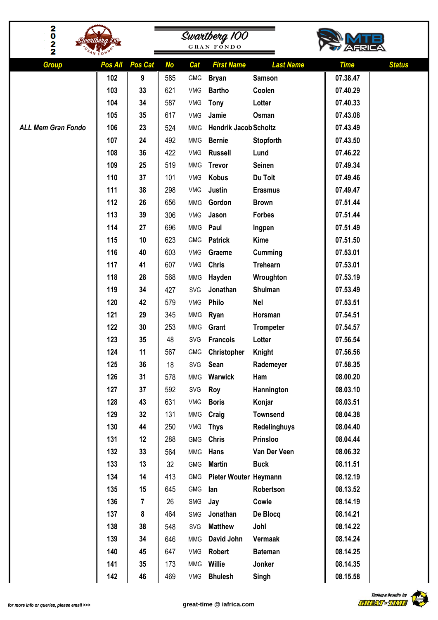| $\bf{^2_{0}}$             |            |                |            |                   |                                    |                           |                              |  |
|---------------------------|------------|----------------|------------|-------------------|------------------------------------|---------------------------|------------------------------|--|
| $\frac{2}{2}$             |            |                |            |                   | Swartberg 100<br><b>GRAN FONDO</b> |                           |                              |  |
|                           |            |                |            |                   |                                    |                           |                              |  |
| <b>Group</b>              | Pos All    | Pos Cat        | <b>No</b>  | Cat               | <b>First Name</b>                  | <b>Last Name</b>          | <b>Status</b><br><b>Time</b> |  |
|                           | 102        | 9              | 585        | <b>GMG</b>        | <b>Bryan</b>                       | <b>Samson</b>             | 07.38.47                     |  |
|                           | 103        | 33             | 621        | VMG               | <b>Bartho</b>                      | Coolen                    | 07.40.29                     |  |
|                           | 104        | 34             | 587        | VMG               | <b>Tony</b>                        | Lotter                    | 07.40.33                     |  |
|                           | 105        | 35             | 617        | VMG               | Jamie                              | Osman                     | 07.43.08                     |  |
| <b>ALL Mem Gran Fondo</b> | 106        | 23             | 524        | <b>MMG</b>        | <b>Hendrik Jacob Scholtz</b>       |                           | 07.43.49                     |  |
|                           | 107        | 24             | 492        | <b>MMG</b>        | <b>Bernie</b>                      | Stopforth                 | 07.43.50                     |  |
|                           | 108        | 36             | 422        | <b>VMG</b>        | <b>Russell</b>                     | Lund                      | 07.46.22                     |  |
|                           | 109        | 25             | 519        | <b>MMG</b>        | <b>Trevor</b>                      | <b>Seinen</b>             | 07.49.34                     |  |
|                           | 110        | 37             | 101        | VMG               | <b>Kobus</b>                       | Du Toit                   | 07.49.46                     |  |
|                           | 111        | 38             | 298        | <b>VMG</b>        | Justin                             | <b>Erasmus</b>            | 07.49.47                     |  |
|                           | 112        | 26             | 656        | <b>MMG</b>        | Gordon                             | <b>Brown</b>              | 07.51.44                     |  |
|                           | 113        | 39             | 306        | <b>VMG</b>        | Jason                              | <b>Forbes</b>             | 07.51.44                     |  |
|                           | 114        | 27             | 696        | <b>MMG</b>        | Paul                               | Ingpen                    | 07.51.49                     |  |
|                           | 115        | 10             | 623        | GMG               | <b>Patrick</b>                     | <b>Kime</b>               | 07.51.50                     |  |
|                           | 116        | 40             | 603        | VMG               | Graeme                             | Cumming                   | 07.53.01                     |  |
|                           | 117        | 41             | 607        | VMG               | <b>Chris</b>                       | <b>Trehearn</b>           | 07.53.01                     |  |
|                           | 118        | 28             | 568        | <b>MMG</b>        | Hayden                             | Wroughton                 | 07.53.19                     |  |
|                           | 119        | 34             | 427        | SVG               | Jonathan                           | Shulman                   | 07.53.49                     |  |
|                           | 120        | 42             | 579        | VMG               | Philo                              | <b>Nel</b>                | 07.53.51                     |  |
|                           | 121        | 29             | 345        | <b>MMG</b>        | Ryan                               | Horsman                   | 07.54.51                     |  |
|                           | 122        | 30             | 253        | <b>MMG</b>        | Grant                              | <b>Trompeter</b>          | 07.54.57                     |  |
|                           | 123        | 35             | 48         | SVG               | <b>Francois</b>                    | Lotter                    | 07.56.54                     |  |
|                           | 124        | 11             | 567        |                   | GMG Christopher                    | Knight                    | 07.56.56                     |  |
|                           | 125        | 36             | 18         | SVG               | Sean                               | Rademeyer                 | 07.58.35                     |  |
|                           | 126<br>127 | 31<br>37       | 578        | <b>MMG</b>        | Warwick                            | Ham                       | 08.00.20<br>08.03.10         |  |
|                           | 128        | 43             | 592<br>631 | SVG               | Roy                                | Hannington                | 08.03.51                     |  |
|                           | 129        | 32             | 131        | VMG<br><b>MMG</b> | <b>Boris</b><br>Craig              | Konjar<br><b>Townsend</b> | 08.04.38                     |  |
|                           | 130        | 44             | 250        | VMG               | <b>Thys</b>                        | <b>Redelinghuys</b>       | 08.04.40                     |  |
|                           | 131        | 12             | 288        | <b>GMG</b>        | <b>Chris</b>                       | Prinsloo                  | 08.04.44                     |  |
|                           | 132        | 33             | 564        | <b>MMG</b>        | Hans                               | Van Der Veen              | 08.06.32                     |  |
|                           | 133        | 13             | 32         | <b>GMG</b>        | <b>Martin</b>                      | <b>Buck</b>               | 08.11.51                     |  |
|                           | 134        | 14             | 413        | <b>GMG</b>        | Pieter Wouter Heymann              |                           | 08.12.19                     |  |
|                           | 135        | 15             | 645        | <b>GMG</b>        | lan                                | Robertson                 | 08.13.52                     |  |
|                           | 136        | $\overline{7}$ | 26         | SMG               | Jay                                | Cowie                     | 08.14.19                     |  |
|                           | 137        | 8              | 464        | SMG               | Jonathan                           | De Blocq                  | 08.14.21                     |  |
|                           | 138        | 38             | 548        | SVG               | <b>Matthew</b>                     | Johl                      | 08.14.22                     |  |
|                           | 139        | 34             | 646        | <b>MMG</b>        | David John                         | Vermaak                   | 08.14.24                     |  |
|                           | 140        | 45             | 647        | VMG               | Robert                             | <b>Bateman</b>            | 08.14.25                     |  |
|                           | 141        | 35             | 173        | <b>MMG</b>        | <b>Willie</b>                      | Jonker                    | 08.14.35                     |  |
|                           | 142        | 46             | 469        | VMG               | <b>Bhulesh</b>                     | Singh                     | 08.15.58                     |  |
|                           |            |                |            |                   |                                    |                           |                              |  |

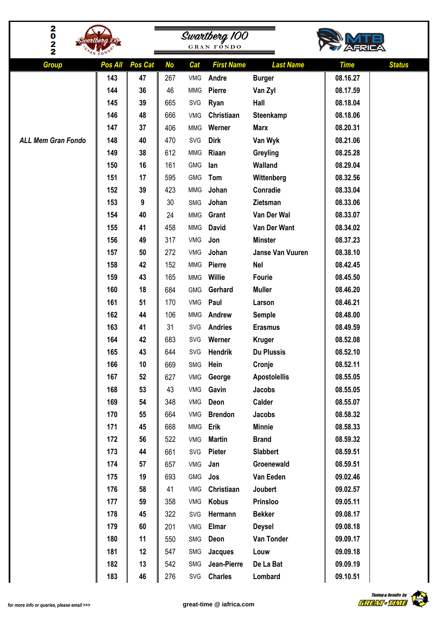| 2                         |                |                      |                  |                   |                                    |                                   |                                          |  |
|---------------------------|----------------|----------------------|------------------|-------------------|------------------------------------|-----------------------------------|------------------------------------------|--|
| O<br>2                    |                |                      |                  |                   | Swartberg 100<br><b>GRAN FONDO</b> |                                   |                                          |  |
| 2                         |                |                      |                  |                   |                                    |                                   |                                          |  |
| <b>Group</b>              | Pos All<br>143 | <b>Pos Cat</b><br>47 | <b>No</b><br>267 | Cat<br><b>VMG</b> | <b>First Name</b><br>Andre         | <b>Last Name</b><br><b>Burger</b> | <b>Status</b><br><b>Time</b><br>08.16.27 |  |
|                           | 144            | 36                   | 46               | <b>MMG</b>        | <b>Pierre</b>                      | Van Zyl                           | 08.17.59                                 |  |
|                           | 145            | 39                   | 665              | SVG               | Ryan                               | Hall                              | 08.18.04                                 |  |
|                           | 146            | 48                   | 666              | VMG               | Christiaan                         | Steenkamp                         | 08.18.06                                 |  |
|                           | 147            | 37                   | 406              | <b>MMG</b>        | Werner                             | <b>Marx</b>                       | 08.20.31                                 |  |
| <b>ALL Mem Gran Fondo</b> | 148            | 40                   | 470              | SVG               | <b>Dirk</b>                        | Van Wyk                           | 08.21.06                                 |  |
|                           | 149            | 38                   | 612              | <b>MMG</b>        | Riaan                              | Greyling                          | 08.25.28                                 |  |
|                           | 150            | 16                   | 161              | GMG               | lan                                | Walland                           | 08.29.04                                 |  |
|                           | 151            | 17                   | 595              | <b>GMG</b>        | Tom                                | Wittenberg                        | 08.32.56                                 |  |
|                           | 152            | 39                   | 423              | <b>MMG</b>        | Johan                              | Conradie                          | 08.33.04                                 |  |
|                           | 153            | 9                    | 30               | SMG               | Johan                              | Zietsman                          | 08.33.06                                 |  |
|                           | 154            | 40                   | 24               | <b>MMG</b>        | Grant                              | Van Der Wal                       | 08.33.07                                 |  |
|                           | 155            | 41                   | 458              | <b>MMG</b>        | <b>David</b>                       | Van Der Want                      | 08.34.02                                 |  |
|                           | 156            | 49                   | 317              | VMG               | Jon                                | <b>Minster</b>                    | 08.37.23                                 |  |
|                           | 157            | 50                   | 272              | <b>VMG</b>        | Johan                              | Janse Van Vuuren                  | 08.38.10                                 |  |
|                           | 158            | 42                   | 152              | <b>MMG</b>        | Pierre                             | <b>Nel</b>                        | 08.42.45                                 |  |
|                           | 159            | 43                   | 165              | <b>MMG</b>        | <b>Willie</b>                      | <b>Fourie</b>                     | 08.45.50                                 |  |
|                           | 160            | 18                   | 684              | <b>GMG</b>        | Gerhard                            | <b>Muller</b>                     | 08.46.20                                 |  |
|                           | 161            | 51                   | 170              | VMG               | Paul                               | Larson                            | 08.46.21                                 |  |
|                           | 162            | 44                   | 106              | <b>MMG</b>        | Andrew                             | <b>Semple</b>                     | 08.48.00                                 |  |
|                           | 163            | 41                   | 31               | SVG               | <b>Andries</b>                     | <b>Erasmus</b>                    | 08.49.59                                 |  |
|                           | 164            | 42                   | 683              | SVG               | Werner                             | <b>Kruger</b>                     | 08.52.08                                 |  |
|                           | 165            | 43                   | 644              |                   | SVG Hendrik                        | <b>Du Plussis</b>                 | 08.52.10                                 |  |
|                           | 166            | 10                   | 669              | SMG               | Hein                               | Cronje                            | 08.52.11                                 |  |
|                           | 167            | 52                   | 627              | VMG               | George                             | <b>Apostolellis</b>               | 08.55.05                                 |  |
|                           | 168            | 53                   | 43               | VMG               | Gavin                              | Jacobs                            | 08.55.05                                 |  |
|                           | 169            | 54                   | 348              | VMG               | Deon                               | Calder                            | 08.55.07                                 |  |
|                           | 170            | 55                   | 664              | VMG               | <b>Brendon</b>                     | Jacobs                            | 08.58.32                                 |  |
|                           | 171            | 45                   | 668              | <b>MMG</b>        | Erik                               | <b>Minnie</b>                     | 08.58.33                                 |  |
|                           | 172            | 56                   | 522              | VMG               | <b>Martin</b>                      | <b>Brand</b>                      | 08.59.32                                 |  |
|                           | 173            | 44                   | 661              | SVG               | Pieter                             | <b>Slabbert</b>                   | 08.59.51                                 |  |
|                           | 174            | 57                   | 657              | VMG               | Jan                                | Groenewald                        | 08.59.51                                 |  |
|                           | 175            | 19                   | 693              | <b>GMG</b>        | Jos                                | Van Eeden                         | 09.02.46                                 |  |
|                           | 176            | 58                   | 41               | VMG               | Christiaan                         | Joubert                           | 09.02.57                                 |  |
|                           | 177            | 59                   | 358              | VMG               | <b>Kobus</b>                       | Prinsloo                          | 09.05.11                                 |  |
|                           | 178            | 45                   | 322              | SVG               | Hermann                            | <b>Bekker</b>                     | 09.08.17                                 |  |
|                           | 179            | 60                   | 201              | VMG               | <b>Elmar</b>                       | <b>Deysel</b>                     | 09.08.18                                 |  |
|                           | 180            | 11                   | 550              | SMG               | Deon                               | Van Tonder                        | 09.09.17                                 |  |
|                           | 181            | 12                   | 547              | SMG               | Jacques                            | Louw                              | 09.09.18                                 |  |
|                           | 182            | 13                   | 542              | SMG               | Jean-Pierre                        | De La Bat                         | 09.09.19                                 |  |
|                           | 183            | 46                   | 276              | SVG               | <b>Charles</b>                     | Lombard                           | 09.10.51                                 |  |

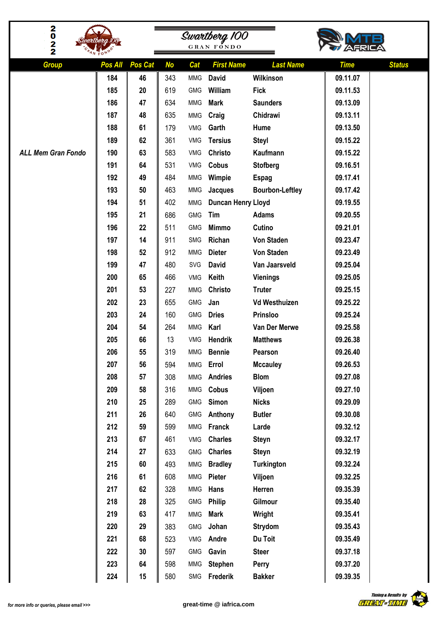| $\frac{2}{0}$<br>2<br>2   |         |         |           |            | Swartberg 100<br><b>GRAN FONDO</b> |                        |                              |
|---------------------------|---------|---------|-----------|------------|------------------------------------|------------------------|------------------------------|
| <b>Group</b>              | Pos All | Pos Cat | <b>No</b> | Cat        | <b>First Name</b>                  | <b>Last Name</b>       | <b>Status</b><br><b>Time</b> |
|                           | 184     | 46      | 343       | <b>MMG</b> | <b>David</b>                       | Wilkinson              | 09.11.07                     |
|                           | 185     | 20      | 619       | <b>GMG</b> | William                            | <b>Fick</b>            | 09.11.53                     |
|                           | 186     | 47      | 634       | <b>MMG</b> | <b>Mark</b>                        | <b>Saunders</b>        | 09.13.09                     |
|                           | 187     | 48      | 635       | <b>MMG</b> | Craig                              | Chidrawi               | 09.13.11                     |
|                           | 188     | 61      | 179       | <b>VMG</b> | Garth                              | Hume                   | 09.13.50                     |
|                           | 189     | 62      | 361       | <b>VMG</b> | <b>Tersius</b>                     | <b>Steyl</b>           | 09.15.22                     |
| <b>ALL Mem Gran Fondo</b> | 190     | 63      | 583       | <b>VMG</b> | Christo                            | Kaufmann               | 09.15.22                     |
|                           | 191     | 64      | 531       | <b>VMG</b> | Cobus                              | <b>Stofberg</b>        | 09.16.51                     |
|                           | 192     | 49      | 484       | <b>MMG</b> | Wimpie                             | <b>Espag</b>           | 09.17.41                     |
|                           | 193     | 50      | 463       | <b>MMG</b> | Jacques                            | <b>Bourbon-Leftley</b> | 09.17.42                     |
|                           | 194     | 51      | 402       | <b>MMG</b> | Duncan Henry Lloyd                 |                        | 09.19.55                     |
|                           | 195     | 21      | 686       | <b>GMG</b> | Tim                                | <b>Adams</b>           | 09.20.55                     |
|                           | 196     | 22      | 511       | <b>GMG</b> | <b>Mimmo</b>                       | Cutino                 | 09.21.01                     |
|                           | 197     | 14      | 911       | SMG        | Richan                             | <b>Von Staden</b>      | 09.23.47                     |
|                           | 198     | 52      | 912       | <b>MMG</b> | <b>Dieter</b>                      | Von Staden             | 09.23.49                     |
|                           | 199     | 47      | 480       | SVG        | <b>David</b>                       | Van Jaarsveld          | 09.25.04                     |
|                           | 200     | 65      | 466       | VMG        | Keith                              | <b>Vienings</b>        | 09.25.05                     |
|                           | 201     | 53      | 227       | <b>MMG</b> | Christo                            | <b>Truter</b>          | 09.25.15                     |
|                           | 202     | 23      | 655       | <b>GMG</b> | Jan                                | <b>Vd Westhuizen</b>   | 09.25.22                     |
|                           | 203     | 24      | 160       | <b>GMG</b> | <b>Dries</b>                       | Prinsloo               | 09.25.24                     |
|                           | 204     | 54      | 264       | <b>MMG</b> | Karl                               | Van Der Merwe          | 09.25.58                     |
|                           | 205     | 66      | 13        | <b>VMG</b> | Hendrik                            | <b>Matthews</b>        | 09.26.38                     |
|                           | 206     | 55      | 319       |            | MMG Bennie                         | Pearson                | 09.26.40                     |
|                           | 207     | 56      | 594       | <b>MMG</b> | Errol                              | <b>Mccauley</b>        | 09.26.53                     |
|                           | 208     | 57      | 308       | <b>MMG</b> | <b>Andries</b>                     | <b>Blom</b>            | 09.27.08                     |
|                           | 209     | 58      | 316       | <b>MMG</b> | Cobus                              | Viljoen                | 09.27.10                     |
|                           | 210     | 25      | 289       | GMG        | Simon                              | <b>Nicks</b>           | 09.29.09                     |
|                           | 211     | 26      | 640       | <b>GMG</b> | Anthony                            | <b>Butler</b>          | 09.30.08                     |
|                           | 212     | 59      | 599       | <b>MMG</b> | Franck                             | Larde                  | 09.32.12                     |
|                           | 213     | 67      | 461       | VMG        | <b>Charles</b>                     | <b>Steyn</b>           | 09.32.17                     |
|                           | 214     | 27      | 633       | <b>GMG</b> | <b>Charles</b>                     | <b>Steyn</b>           | 09.32.19                     |
|                           | 215     | 60      | 493       | <b>MMG</b> | <b>Bradley</b>                     | <b>Turkington</b>      | 09.32.24                     |
|                           | 216     | 61      | 608       | <b>MMG</b> | Pieter                             | Viljoen                | 09.32.25                     |
|                           | 217     | 62      | 328       | MMG        | Hans                               | Herren                 | 09.35.39                     |
|                           | 218     | 28      | 325       | <b>GMG</b> | <b>Philip</b>                      | Gilmour                | 09.35.40                     |
|                           | 219     | 63      | 417       | <b>MMG</b> | <b>Mark</b>                        | Wright                 | 09.35.41                     |
|                           | 220     | 29      | 383       | GMG        | Johan                              | <b>Strydom</b>         | 09.35.43                     |
|                           | 221     | 68      | 523       | VMG        | Andre                              | Du Toit                | 09.35.49                     |
|                           | 222     | 30      | 597       | GMG        | Gavin                              | <b>Steer</b>           | 09.37.18                     |
|                           | 223     | 64      | 598       | <b>MMG</b> | <b>Stephen</b>                     | Perry                  | 09.37.20                     |
|                           | 224     | 15      | 580       |            | SMG Frederik                       | <b>Bakker</b>          | 09.39.35                     |

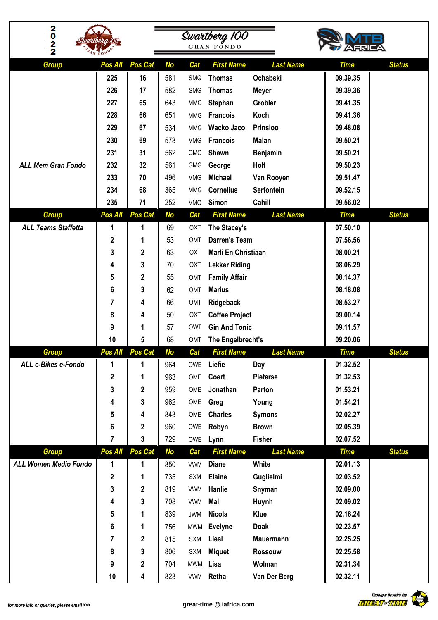| 2022                                |                         |                 |            |            | Swartberg 100<br><b>GRAN FONDO</b> |                  |                      |               |  |
|-------------------------------------|-------------------------|-----------------|------------|------------|------------------------------------|------------------|----------------------|---------------|--|
|                                     |                         |                 |            |            |                                    |                  |                      |               |  |
| <b>Group</b>                        | Pos All                 | Pos Cat         | <b>No</b>  | Cat        | <b>First Name</b>                  | <b>Last Name</b> | <b>Time</b>          | <b>Status</b> |  |
|                                     | 225                     | 16              | 581        | <b>SMG</b> | <b>Thomas</b>                      | Ochabski         | 09.39.35             |               |  |
|                                     | 226                     | 17              | 582        | <b>SMG</b> | <b>Thomas</b>                      | <b>Meyer</b>     | 09.39.36             |               |  |
|                                     | 227                     | 65              | 643        | <b>MMG</b> | Stephan                            | <b>Grobler</b>   | 09.41.35             |               |  |
|                                     | 228                     | 66              | 651        | <b>MMG</b> | <b>Francois</b>                    | Koch             | 09.41.36             |               |  |
|                                     | 229                     | 67              | 534        | <b>MMG</b> | Wacko Jaco                         | Prinsloo         | 09.48.08             |               |  |
|                                     | 230                     | 69              | 573        | VMG        | <b>Francois</b>                    | <b>Malan</b>     | 09.50.21             |               |  |
|                                     | 231                     | 31              | 562        | <b>GMG</b> | Shawn                              | <b>Benjamin</b>  | 09.50.21             |               |  |
| <b>ALL Mem Gran Fondo</b>           | 232                     | 32              | 561        | <b>GMG</b> | George                             | Holt             | 09.50.23             |               |  |
|                                     | 233                     | 70              | 496        | <b>VMG</b> | <b>Michael</b>                     | Van Rooyen       | 09.51.47             |               |  |
|                                     | 234                     | 68              | 365        | <b>MMG</b> | <b>Cornelius</b>                   | Serfontein       | 09.52.15             |               |  |
|                                     | 235                     | 71              | 252        | VMG        | Simon                              | Cahill           | 09.56.02             |               |  |
| <b>Group</b>                        | Pos All                 | Pos Cat         | <b>No</b>  | Cat        | <b>First Name</b>                  | <b>Last Name</b> | <b>Time</b>          | <b>Status</b> |  |
| <b>ALL Teams Staffetta</b>          | 1                       | 1               | 69         | OXT        | The Stacey's                       |                  | 07.50.10             |               |  |
|                                     | $\overline{\mathbf{c}}$ | 1               | 53         | OMT        | <b>Darren's Team</b>               |                  | 07.56.56             |               |  |
|                                     | 3                       | 2               | 63         | <b>OXT</b> | Marli En Christiaan                |                  | 08.00.21             |               |  |
|                                     | 4                       | 3               | 70         | OXT        | <b>Lekker Riding</b>               |                  | 08.06.29             |               |  |
|                                     | 5                       | 2               | 55         | OMT        | <b>Family Affair</b>               |                  | 08.14.37             |               |  |
|                                     | 6                       | 3               | 62         | OMT        | <b>Marius</b>                      |                  | 08.18.08             |               |  |
|                                     | 7                       | 4               | 66         | OMT        | Ridgeback                          |                  | 08.53.27             |               |  |
|                                     | 8                       | 4               | 50         | OXT        | <b>Coffee Project</b>              |                  | 09.00.14             |               |  |
|                                     | 9                       | 1               | 57         | <b>OWT</b> | <b>Gin And Tonic</b>               |                  | 09.11.57             |               |  |
|                                     | 10                      | 5               | 68         | OMT        | The Engelbrecht's                  |                  | 09.20.06             |               |  |
| <b>Group</b><br>ALL e-Bikes e-Fondo |                         | Pos All Pos Cat | No         | Cat<br>OWE | <b>First Name</b><br>Liefie        | <b>Last Name</b> | <b>Time</b>          | <b>Status</b> |  |
|                                     | 1<br>$\mathbf 2$        | 1<br>1          | 964<br>963 | OME        | Coert                              | Day<br>Pieterse  | 01.32.52<br>01.32.53 |               |  |
|                                     | 3                       | $\mathbf 2$     | 959        | OME        | Jonathan                           | Parton           | 01.53.21             |               |  |
|                                     | 4                       | 3               | 962        | OME        | Greg                               | Young            | 01.54.21             |               |  |
|                                     | 5                       | 4               | 843        | OME        | <b>Charles</b>                     | <b>Symons</b>    | 02.02.27             |               |  |
|                                     | 6                       | 2               | 960        | OWE        | Robyn                              | <b>Brown</b>     | 02.05.39             |               |  |
|                                     | $\overline{7}$          | 3               | 729        | OWE        | Lynn                               | <b>Fisher</b>    | 02.07.52             |               |  |
| <b>Group</b>                        | Pos All                 | <b>Pos Cat</b>  | <b>No</b>  | Cat        | <b>First Name</b>                  | <b>Last Name</b> | <b>Time</b>          | <b>Status</b> |  |
| <b>ALL Women Medio Fondo</b>        | 1                       | 1               | 850        | VWM        | <b>Diane</b>                       | White            | 02.01.13             |               |  |
|                                     | $\mathbf 2$             | 1               | 735        | SXM        | <b>Elaine</b>                      | Guglielmi        | 02.03.52             |               |  |
|                                     | 3                       | 2               | 819        | <b>VWM</b> | Hanlie                             | Snyman           | 02.09.00             |               |  |
|                                     | 4                       | 3               | 708        | <b>VWM</b> | Mai                                | Huynh            | 02.09.02             |               |  |
|                                     | 5                       | 1               | 839        | JWM        | <b>Nicola</b>                      | <b>Klue</b>      | 02.16.24             |               |  |
|                                     | 6                       | 1               | 756        | <b>MWM</b> | <b>Evelyne</b>                     | <b>Doak</b>      | 02.23.57             |               |  |
|                                     | 7                       | $\mathbf 2$     | 815        | <b>SXM</b> | Liesl                              | <b>Mauermann</b> | 02.25.25             |               |  |
|                                     | 8                       | 3               | 806        | <b>SXM</b> | <b>Miquet</b>                      | <b>Rossouw</b>   | 02.25.58             |               |  |
|                                     | 9                       | 2               | 704        | <b>MWM</b> | Lisa                               | Wolman           | 02.31.34             |               |  |
|                                     | 10                      | 4               | 823        |            | VWM Retha                          | Van Der Berg     | 02.32.11             |               |  |

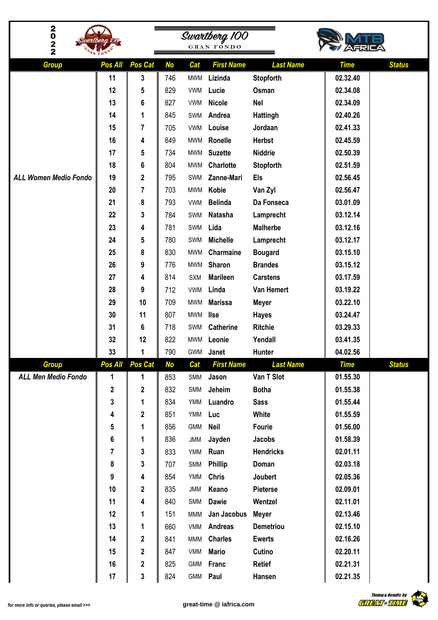| 2022<br>artbera 100          |          |             |           | Swartberg 100<br><b>GRAN FONDO</b> |                        |                            |                      |               |
|------------------------------|----------|-------------|-----------|------------------------------------|------------------------|----------------------------|----------------------|---------------|
|                              |          |             |           |                                    |                        |                            |                      |               |
| <b>Group</b>                 | Pos All  | Pos Cat     | <b>No</b> | Cat                                | <b>First Name</b>      | <b>Last Name</b>           | <b>Time</b>          | <b>Status</b> |
|                              | 11<br>12 | 3           | 746       | <b>MWM</b>                         | Lizinda                | Stopforth                  | 02.32.40             |               |
|                              | 13       | 5<br>6      | 829       | <b>VWM</b><br><b>VWM</b>           | Lucie<br><b>Nicole</b> | Osman<br><b>Nel</b>        | 02.34.08<br>02.34.09 |               |
|                              | 14       |             | 827       | SWM                                |                        |                            |                      |               |
|                              |          | 1           | 845       | <b>VWM</b>                         | Andrea<br>Louise       | <b>Hattingh</b><br>Jordaan | 02.40.26<br>02.41.33 |               |
|                              | 15<br>16 | 7           | 705       |                                    |                        |                            |                      |               |
|                              | 17       | 4           | 849       | <b>MWM</b>                         | Ronelle                | <b>Herbst</b>              | 02.45.59<br>02.50.39 |               |
|                              | 18       | 5           | 734       | <b>MWM</b>                         | <b>Suzette</b>         | <b>Niddrie</b>             | 02.51.59             |               |
|                              |          | 6           | 804       | <b>MWM</b>                         | Charlotte              | Stopforth                  |                      |               |
| <b>ALL Women Medio Fondo</b> | 19       | 2           | 795       | SWM                                | Zanne-Mari             | <b>Els</b>                 | 02.56.45             |               |
|                              | 20       | 7           | 703       | <b>MWM</b>                         | Kobie                  | Van Zyl                    | 02.56.47             |               |
|                              | 21       | 8           | 793       | <b>VWM</b>                         | <b>Belinda</b>         | Da Fonseca                 | 03.01.09             |               |
|                              | 22       | 3           | 784       | SWM                                | <b>Natasha</b>         | Lamprecht                  | 03.12.14             |               |
|                              | 23       | 4           | 781       | SWM                                | Lida                   | <b>Malherbe</b>            | 03.12.16             |               |
|                              | 24       | 5           | 780       | SWM                                | <b>Michelle</b>        | Lamprecht                  | 03.12.17             |               |
|                              | 25       | 8           | 830       | <b>MWM</b>                         | Charmaine              | <b>Bougard</b>             | 03.15.10             |               |
|                              | 26       | 9           | 776       | <b>MWM</b>                         | Sharon                 | <b>Brandes</b>             | 03.15.12             |               |
|                              | 27       | 4           | 814       | SXM                                | <b>Marileen</b>        | <b>Carstens</b>            | 03.17.59             |               |
|                              | 28       | 9           | 712       | <b>VWM</b>                         | Linda                  | Van Hemert                 | 03.19.22             |               |
|                              | 29       | 10          | 709       | <b>MWM</b>                         | <b>Marissa</b>         | <b>Meyer</b>               | 03.22.10             |               |
|                              | 30       | 11          | 807       | <b>MWM</b>                         | <b>Ilse</b>            | <b>Hayes</b>               | 03.24.47             |               |
|                              | 31       | 6           | 718       | SWM                                | <b>Catherine</b>       | <b>Ritchie</b>             | 03.29.33             |               |
|                              | 32       | 12          | 822       |                                    | MWM Leonie             | Yendall                    | 03.41.35             |               |
|                              | 33       | 1           | 790       | <b>GWM</b>                         | Janet                  | Hunter                     | 04.02.56             |               |
| <b>Group</b>                 | Pos All  | Pos Cat     | <b>No</b> | Cat                                | <b>First Name</b>      | <b>Last Name</b>           | <b>Time</b>          | <b>Status</b> |
| <b>ALL Men Medio Fondo</b>   | 1        | 1           | 853       | SMM                                | Jason                  | Van T Slot                 | 01.55.30             |               |
|                              | 2        | 2           | 832       | SMM                                | Jeheim                 | <b>Botha</b>               | 01.55.38             |               |
|                              | 3        | 1           | 834       | YMM                                | Luandro                | <b>Sass</b>                | 01.55.44             |               |
|                              | 4        | $\mathbf 2$ | 851       | YMM                                | Luc                    | White                      | 01.55.59             |               |
|                              | 5        | 1           | 856       | <b>GMM</b>                         | <b>Neil</b>            | Fourie                     | 01.56.00             |               |
|                              | 6        | 1           | 836       | $\mathsf{JMM}$                     | Jayden                 | Jacobs                     | 01.58.39             |               |
|                              | 7        | 3           | 833       | YMM                                | Ruan                   | <b>Hendricks</b>           | 02.01.11             |               |
|                              | 8        | 3           | 707       | SMM                                | <b>Phillip</b>         | Doman                      | 02.03.18             |               |
|                              | 9        | 4           | 854       | YMM                                | <b>Chris</b>           | Joubert                    | 02.05.36             |               |
|                              | 10       | 2           | 835       | $\mathsf{JMM}$                     | Keano                  | Pieterse                   | 02.09.01             |               |
|                              | 11       | 4           | 840       | SMM                                | <b>Dawie</b>           | Wentzel                    | 02.11.01             |               |
|                              | 12       | 1           | 151       | <b>MMM</b>                         | Jan Jacobus            | <b>Meyer</b>               | 02.13.46             |               |
|                              | 13       | 1           | 660       | <b>VMM</b>                         | <b>Andreas</b>         | <b>Demetriou</b>           | 02.15.10             |               |
|                              | 14       | $\mathbf 2$ | 841       | <b>MMM</b>                         | <b>Charles</b>         | <b>Ewerts</b>              | 02.16.26             |               |
|                              | 15       | $\mathbf 2$ | 847       | VMM                                | <b>Mario</b>           | Cutino                     | 02.20.11             |               |
|                              | 16       | $\mathbf 2$ | 825       | GMM                                | Franc                  | <b>Retief</b>              | 02.21.31             |               |
|                              | 17       | 3           | 824       | <b>GMM</b>                         | Paul                   | Hansen                     | 02.21.35             |               |